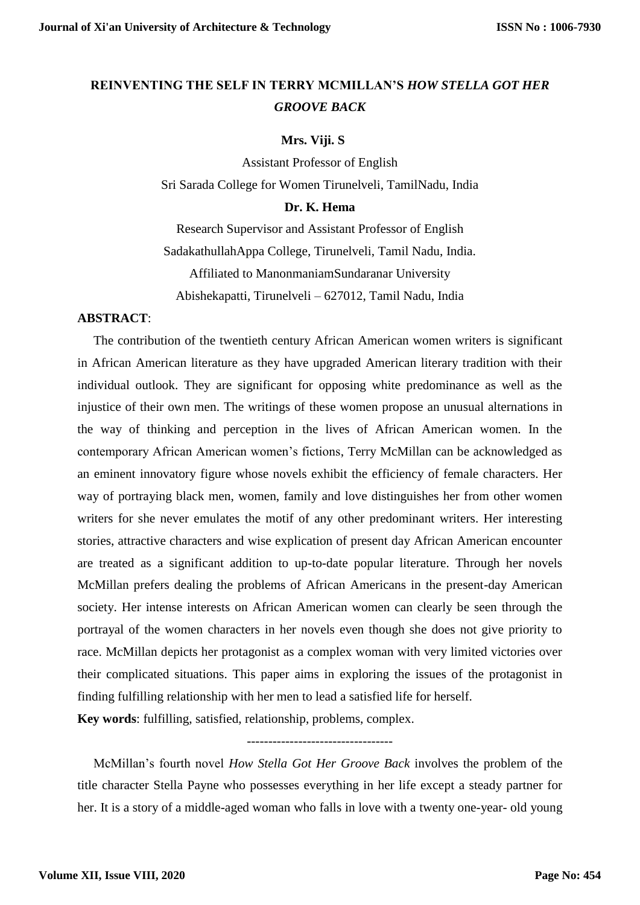# **REINVENTING THE SELF IN TERRY MCMILLAN'S** *HOW STELLA GOT HER GROOVE BACK*

### **Mrs. Viji. S**

Assistant Professor of English Sri Sarada College for Women Tirunelveli, TamilNadu, India

#### **Dr. K. Hema**

Research Supervisor and Assistant Professor of English SadakathullahAppa College, Tirunelveli, Tamil Nadu, India. Affiliated to ManonmaniamSundaranar University Abishekapatti, Tirunelveli – 627012, Tamil Nadu, India

## **ABSTRACT**:

 The contribution of the twentieth century African American women writers is significant in African American literature as they have upgraded American literary tradition with their individual outlook. They are significant for opposing white predominance as well as the injustice of their own men. The writings of these women propose an unusual alternations in the way of thinking and perception in the lives of African American women. In the contemporary African American women's fictions, Terry McMillan can be acknowledged as an eminent innovatory figure whose novels exhibit the efficiency of female characters. Her way of portraying black men, women, family and love distinguishes her from other women writers for she never emulates the motif of any other predominant writers. Her interesting stories, attractive characters and wise explication of present day African American encounter are treated as a significant addition to up-to-date popular literature. Through her novels McMillan prefers dealing the problems of African Americans in the present-day American society. Her intense interests on African American women can clearly be seen through the portrayal of the women characters in her novels even though she does not give priority to race. McMillan depicts her protagonist as a complex woman with very limited victories over their complicated situations. This paper aims in exploring the issues of the protagonist in finding fulfilling relationship with her men to lead a satisfied life for herself.

**Key words**: fulfilling, satisfied, relationship, problems, complex.

----------------------------------

 McMillan's fourth novel *How Stella Got Her Groove Back* involves the problem of the title character Stella Payne who possesses everything in her life except a steady partner for her. It is a story of a middle-aged woman who falls in love with a twenty one-year- old young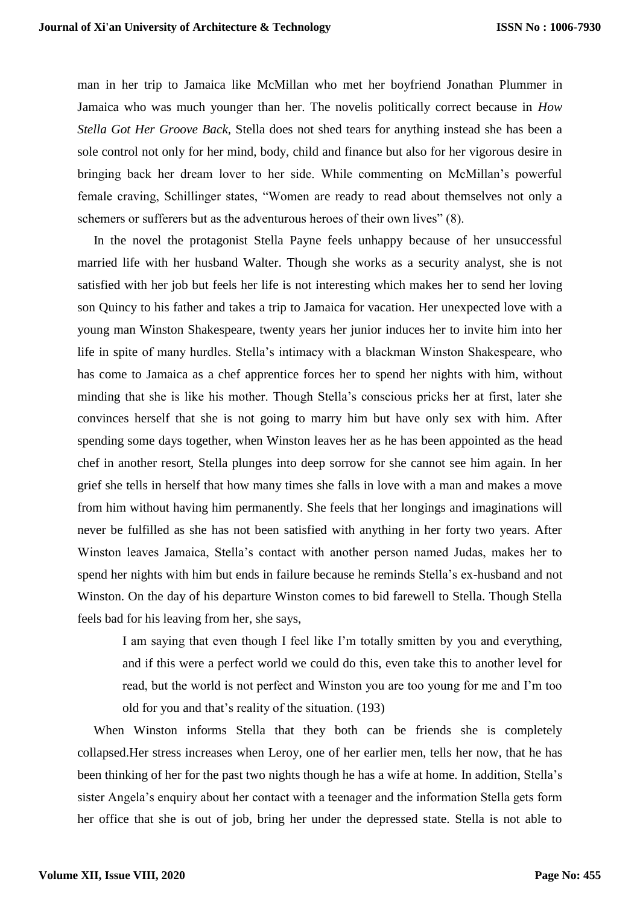man in her trip to Jamaica like McMillan who met her boyfriend Jonathan Plummer in Jamaica who was much younger than her. The novelis politically correct because in *How Stella Got Her Groove Back,* Stella does not shed tears for anything instead she has been a sole control not only for her mind, body, child and finance but also for her vigorous desire in bringing back her dream lover to her side. While commenting on McMillan's powerful female craving, Schillinger states, "Women are ready to read about themselves not only a schemers or sufferers but as the adventurous heroes of their own lives" (8).

 In the novel the protagonist Stella Payne feels unhappy because of her unsuccessful married life with her husband Walter. Though she works as a security analyst, she is not satisfied with her job but feels her life is not interesting which makes her to send her loving son Quincy to his father and takes a trip to Jamaica for vacation. Her unexpected love with a young man Winston Shakespeare, twenty years her junior induces her to invite him into her life in spite of many hurdles. Stella's intimacy with a blackman Winston Shakespeare, who has come to Jamaica as a chef apprentice forces her to spend her nights with him, without minding that she is like his mother. Though Stella's conscious pricks her at first, later she convinces herself that she is not going to marry him but have only sex with him. After spending some days together, when Winston leaves her as he has been appointed as the head chef in another resort, Stella plunges into deep sorrow for she cannot see him again. In her grief she tells in herself that how many times she falls in love with a man and makes a move from him without having him permanently. She feels that her longings and imaginations will never be fulfilled as she has not been satisfied with anything in her forty two years. After Winston leaves Jamaica, Stella's contact with another person named Judas, makes her to spend her nights with him but ends in failure because he reminds Stella's ex-husband and not Winston. On the day of his departure Winston comes to bid farewell to Stella. Though Stella feels bad for his leaving from her, she says,

I am saying that even though I feel like I'm totally smitten by you and everything, and if this were a perfect world we could do this, even take this to another level for read, but the world is not perfect and Winston you are too young for me and I'm too old for you and that's reality of the situation. (193)

 When Winston informs Stella that they both can be friends she is completely collapsed.Her stress increases when Leroy, one of her earlier men, tells her now, that he has been thinking of her for the past two nights though he has a wife at home. In addition, Stella's sister Angela's enquiry about her contact with a teenager and the information Stella gets form her office that she is out of job, bring her under the depressed state. Stella is not able to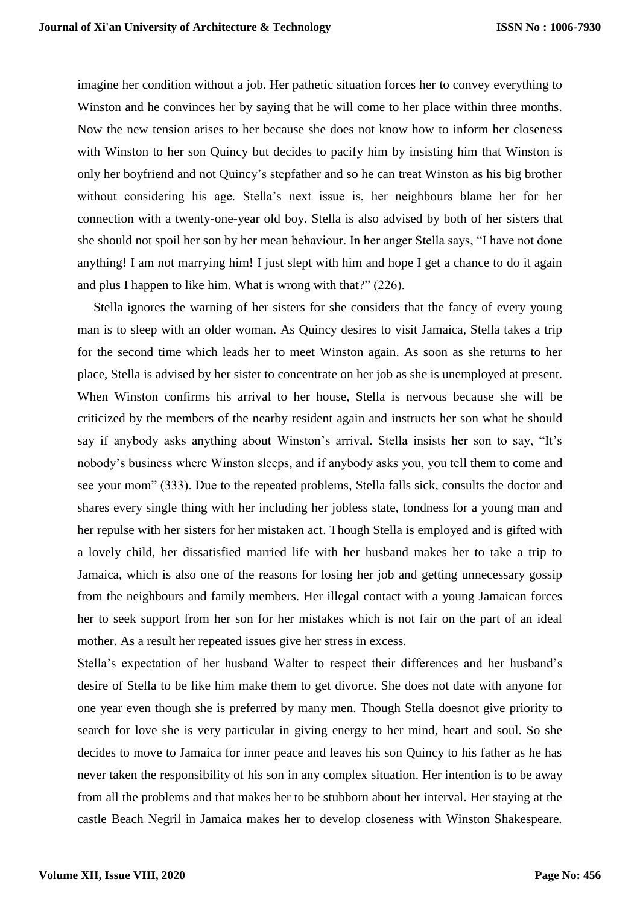imagine her condition without a job. Her pathetic situation forces her to convey everything to Winston and he convinces her by saying that he will come to her place within three months. Now the new tension arises to her because she does not know how to inform her closeness with Winston to her son Quincy but decides to pacify him by insisting him that Winston is only her boyfriend and not Quincy's stepfather and so he can treat Winston as his big brother without considering his age. Stella's next issue is, her neighbours blame her for her connection with a twenty-one-year old boy. Stella is also advised by both of her sisters that she should not spoil her son by her mean behaviour. In her anger Stella says, "I have not done anything! I am not marrying him! I just slept with him and hope I get a chance to do it again and plus I happen to like him. What is wrong with that?" (226).

 Stella ignores the warning of her sisters for she considers that the fancy of every young man is to sleep with an older woman. As Quincy desires to visit Jamaica, Stella takes a trip for the second time which leads her to meet Winston again. As soon as she returns to her place, Stella is advised by her sister to concentrate on her job as she is unemployed at present. When Winston confirms his arrival to her house, Stella is nervous because she will be criticized by the members of the nearby resident again and instructs her son what he should say if anybody asks anything about Winston's arrival. Stella insists her son to say, "It's nobody's business where Winston sleeps, and if anybody asks you, you tell them to come and see your mom" (333). Due to the repeated problems, Stella falls sick, consults the doctor and shares every single thing with her including her jobless state, fondness for a young man and her repulse with her sisters for her mistaken act. Though Stella is employed and is gifted with a lovely child, her dissatisfied married life with her husband makes her to take a trip to Jamaica, which is also one of the reasons for losing her job and getting unnecessary gossip from the neighbours and family members. Her illegal contact with a young Jamaican forces her to seek support from her son for her mistakes which is not fair on the part of an ideal mother. As a result her repeated issues give her stress in excess.

Stella's expectation of her husband Walter to respect their differences and her husband's desire of Stella to be like him make them to get divorce. She does not date with anyone for one year even though she is preferred by many men. Though Stella doesnot give priority to search for love she is very particular in giving energy to her mind, heart and soul. So she decides to move to Jamaica for inner peace and leaves his son Quincy to his father as he has never taken the responsibility of his son in any complex situation. Her intention is to be away from all the problems and that makes her to be stubborn about her interval. Her staying at the castle Beach Negril in Jamaica makes her to develop closeness with Winston Shakespeare.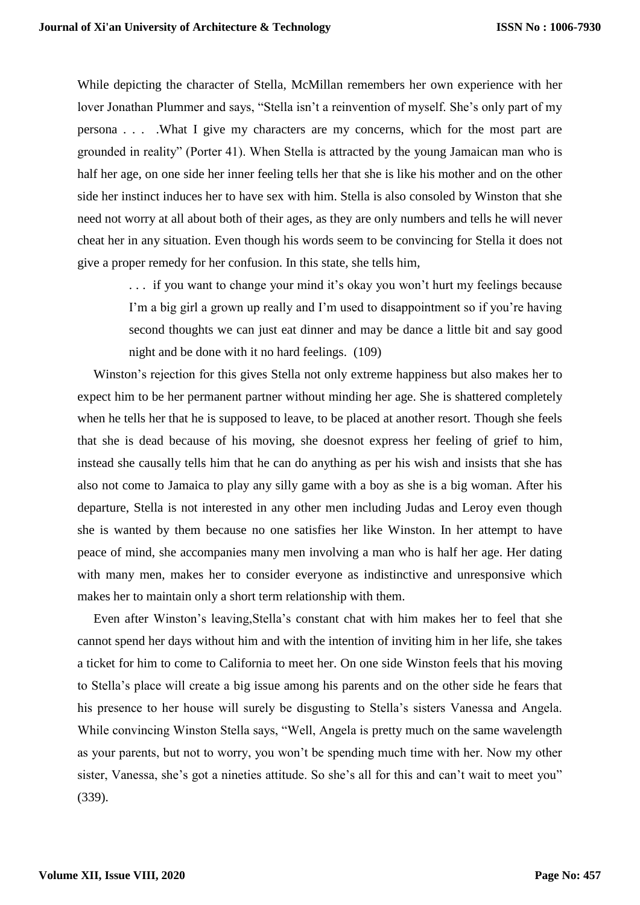While depicting the character of Stella, McMillan remembers her own experience with her lover Jonathan Plummer and says, "Stella isn't a reinvention of myself. She's only part of my persona . . . .What I give my characters are my concerns, which for the most part are grounded in reality" (Porter 41). When Stella is attracted by the young Jamaican man who is half her age, on one side her inner feeling tells her that she is like his mother and on the other side her instinct induces her to have sex with him. Stella is also consoled by Winston that she need not worry at all about both of their ages, as they are only numbers and tells he will never cheat her in any situation. Even though his words seem to be convincing for Stella it does not give a proper remedy for her confusion. In this state, she tells him,

> . . . if you want to change your mind it's okay you won't hurt my feelings because I'm a big girl a grown up really and I'm used to disappointment so if you're having second thoughts we can just eat dinner and may be dance a little bit and say good night and be done with it no hard feelings. (109)

 Winston's rejection for this gives Stella not only extreme happiness but also makes her to expect him to be her permanent partner without minding her age. She is shattered completely when he tells her that he is supposed to leave, to be placed at another resort. Though she feels that she is dead because of his moving, she doesnot express her feeling of grief to him, instead she causally tells him that he can do anything as per his wish and insists that she has also not come to Jamaica to play any silly game with a boy as she is a big woman. After his departure, Stella is not interested in any other men including Judas and Leroy even though she is wanted by them because no one satisfies her like Winston. In her attempt to have peace of mind, she accompanies many men involving a man who is half her age. Her dating with many men, makes her to consider everyone as indistinctive and unresponsive which makes her to maintain only a short term relationship with them.

 Even after Winston's leaving,Stella's constant chat with him makes her to feel that she cannot spend her days without him and with the intention of inviting him in her life, she takes a ticket for him to come to California to meet her. On one side Winston feels that his moving to Stella's place will create a big issue among his parents and on the other side he fears that his presence to her house will surely be disgusting to Stella's sisters Vanessa and Angela. While convincing Winston Stella says, "Well, Angela is pretty much on the same wavelength as your parents, but not to worry, you won't be spending much time with her. Now my other sister, Vanessa, she's got a nineties attitude. So she's all for this and can't wait to meet you" (339).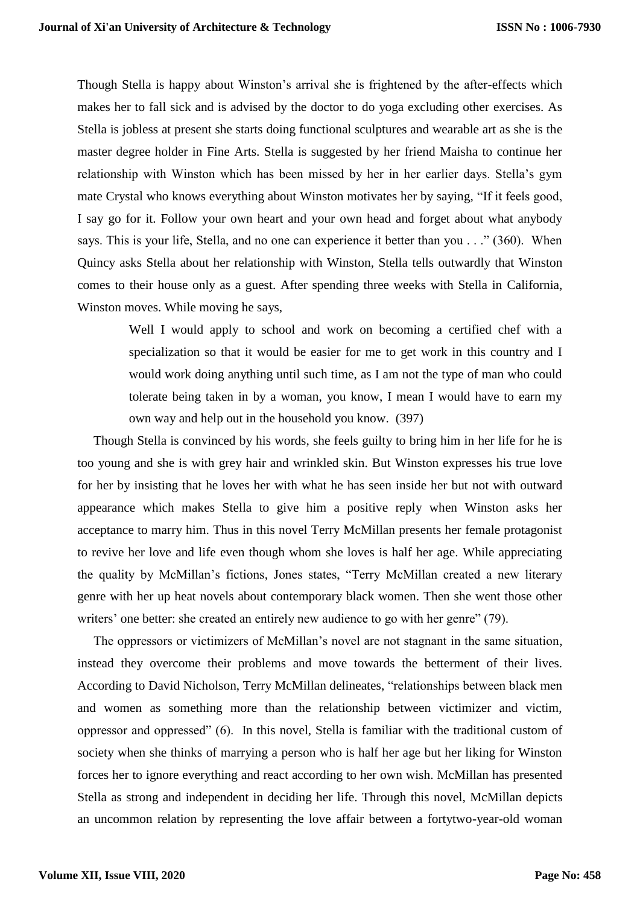Though Stella is happy about Winston's arrival she is frightened by the after-effects which makes her to fall sick and is advised by the doctor to do yoga excluding other exercises. As Stella is jobless at present she starts doing functional sculptures and wearable art as she is the master degree holder in Fine Arts. Stella is suggested by her friend Maisha to continue her relationship with Winston which has been missed by her in her earlier days. Stella's gym mate Crystal who knows everything about Winston motivates her by saying, "If it feels good, I say go for it. Follow your own heart and your own head and forget about what anybody says. This is your life, Stella, and no one can experience it better than you . . ." (360). When Quincy asks Stella about her relationship with Winston, Stella tells outwardly that Winston comes to their house only as a guest. After spending three weeks with Stella in California, Winston moves. While moving he says,

> Well I would apply to school and work on becoming a certified chef with a specialization so that it would be easier for me to get work in this country and I would work doing anything until such time, as I am not the type of man who could tolerate being taken in by a woman, you know, I mean I would have to earn my own way and help out in the household you know. (397)

 Though Stella is convinced by his words, she feels guilty to bring him in her life for he is too young and she is with grey hair and wrinkled skin. But Winston expresses his true love for her by insisting that he loves her with what he has seen inside her but not with outward appearance which makes Stella to give him a positive reply when Winston asks her acceptance to marry him. Thus in this novel Terry McMillan presents her female protagonist to revive her love and life even though whom she loves is half her age. While appreciating the quality by McMillan's fictions, Jones states, "Terry McMillan created a new literary genre with her up heat novels about contemporary black women. Then she went those other writers' one better: she created an entirely new audience to go with her genre" (79).

 The oppressors or victimizers of McMillan's novel are not stagnant in the same situation, instead they overcome their problems and move towards the betterment of their lives. According to David Nicholson, Terry McMillan delineates, "relationships between black men and women as something more than the relationship between victimizer and victim, oppressor and oppressed" (6). In this novel, Stella is familiar with the traditional custom of society when she thinks of marrying a person who is half her age but her liking for Winston forces her to ignore everything and react according to her own wish. McMillan has presented Stella as strong and independent in deciding her life. Through this novel, McMillan depicts an uncommon relation by representing the love affair between a fortytwo-year-old woman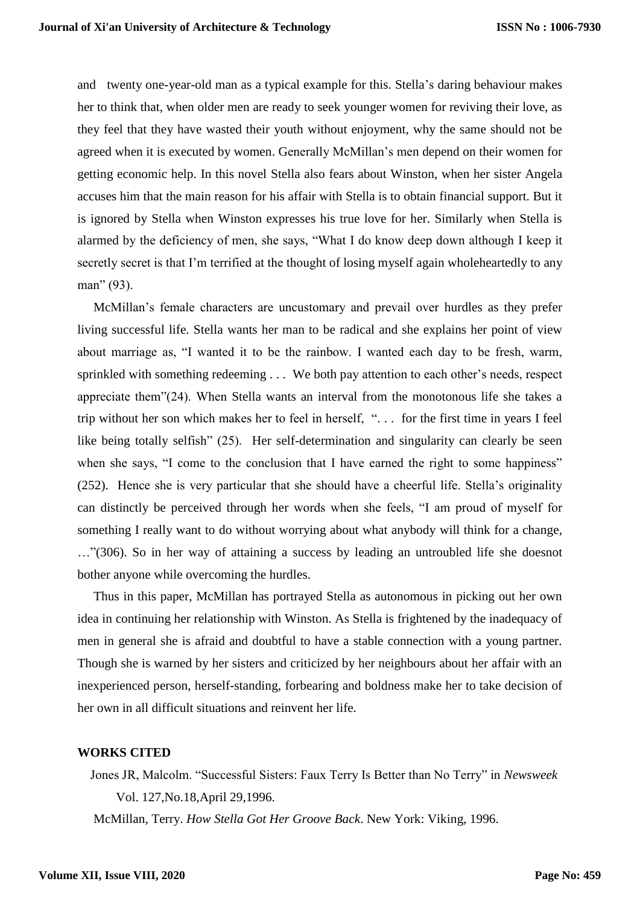and twenty one-year-old man as a typical example for this. Stella's daring behaviour makes her to think that, when older men are ready to seek younger women for reviving their love, as they feel that they have wasted their youth without enjoyment, why the same should not be agreed when it is executed by women. Generally McMillan's men depend on their women for getting economic help. In this novel Stella also fears about Winston, when her sister Angela accuses him that the main reason for his affair with Stella is to obtain financial support. But it is ignored by Stella when Winston expresses his true love for her. Similarly when Stella is alarmed by the deficiency of men, she says, "What I do know deep down although I keep it secretly secret is that I'm terrified at the thought of losing myself again wholeheartedly to any man" (93).

 McMillan's female characters are uncustomary and prevail over hurdles as they prefer living successful life. Stella wants her man to be radical and she explains her point of view about marriage as, "I wanted it to be the rainbow. I wanted each day to be fresh, warm, sprinkled with something redeeming . . . We both pay attention to each other's needs, respect appreciate them"(24). When Stella wants an interval from the monotonous life she takes a trip without her son which makes her to feel in herself, ". . . for the first time in years I feel like being totally selfish" (25). Her self-determination and singularity can clearly be seen when she says, "I come to the conclusion that I have earned the right to some happiness" (252). Hence she is very particular that she should have a cheerful life. Stella's originality can distinctly be perceived through her words when she feels, "I am proud of myself for something I really want to do without worrying about what anybody will think for a change, …"(306). So in her way of attaining a success by leading an untroubled life she doesnot bother anyone while overcoming the hurdles.

 Thus in this paper, McMillan has portrayed Stella as autonomous in picking out her own idea in continuing her relationship with Winston. As Stella is frightened by the inadequacy of men in general she is afraid and doubtful to have a stable connection with a young partner. Though she is warned by her sisters and criticized by her neighbours about her affair with an inexperienced person, herself-standing, forbearing and boldness make her to take decision of her own in all difficult situations and reinvent her life.

## **WORKS CITED**

 Jones JR, Malcolm. "Successful Sisters: Faux Terry Is Better than No Terry" in *Newsweek* Vol. 127,No.18,April 29,1996.

McMillan, Terry. *How Stella Got Her Groove Back*. New York: Viking, 1996.